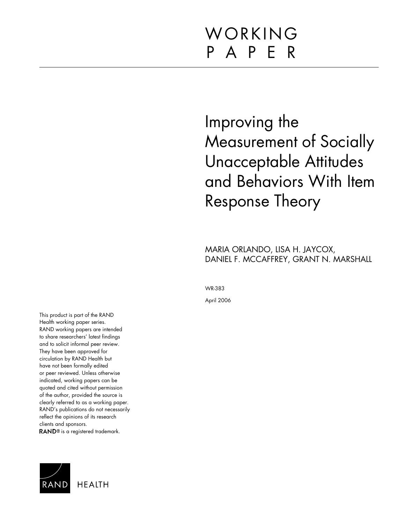# WORKING P A P E R

# Improving the Measurement of Socially Unacceptable Attitudes and Behaviors With Item Response Theory

MARIA ORLANDO, LISA H. JAYCOX, DANIEL F. MCCAFFREY, GRANT N. MARSHALL

WR-383

April 2006

This product is part of the RAND Health working paper series. RAND working papers are intended to share researchers' latest findings and to solicit informal peer review. They have been approved for circulation by RAND Health but have not been formally edited or peer reviewed. Unless otherwise indicated, working papers can be quoted and cited without permission of the author, provided the source is clearly referred to as a working paper. RAND's publications do not necessarily reflect the opinions of its research clients and sponsors. RAND<sup>®</sup> is a registered trademark.

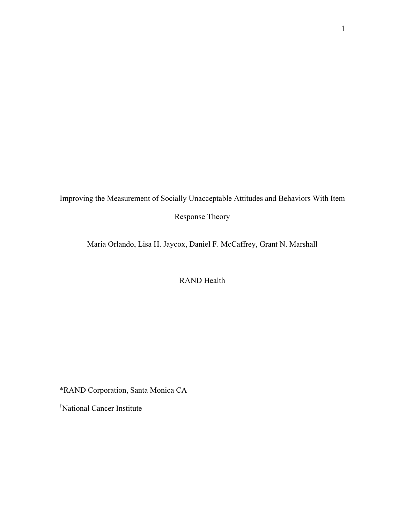Improving the Measurement of Socially Unacceptable Attitudes and Behaviors With Item

Response Theory

Maria Orlando, Lisa H. Jaycox, Daniel F. McCaffrey, Grant N. Marshall

RAND Health

\*RAND Corporation, Santa Monica CA

† National Cancer Institute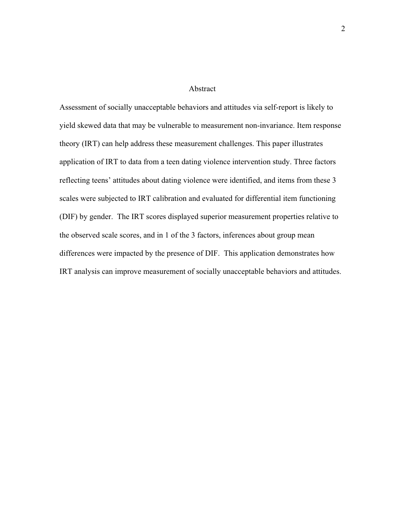#### Abstract

Assessment of socially unacceptable behaviors and attitudes via self-report is likely to yield skewed data that may be vulnerable to measurement non-invariance. Item response theory (IRT) can help address these measurement challenges. This paper illustrates application of IRT to data from a teen dating violence intervention study. Three factors reflecting teens' attitudes about dating violence were identified, and items from these 3 scales were subjected to IRT calibration and evaluated for differential item functioning (DIF) by gender. The IRT scores displayed superior measurement properties relative to the observed scale scores, and in 1 of the 3 factors, inferences about group mean differences were impacted by the presence of DIF. This application demonstrates how IRT analysis can improve measurement of socially unacceptable behaviors and attitudes.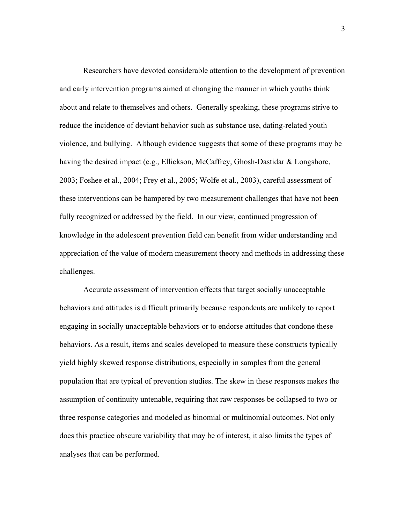Researchers have devoted considerable attention to the development of prevention and early intervention programs aimed at changing the manner in which youths think about and relate to themselves and others. Generally speaking, these programs strive to reduce the incidence of deviant behavior such as substance use, dating-related youth violence, and bullying. Although evidence suggests that some of these programs may be having the desired impact (e.g., Ellickson, McCaffrey, Ghosh-Dastidar  $&$  Longshore, 2003; Foshee et al., 2004; Frey et al., 2005; Wolfe et al., 2003), careful assessment of these interventions can be hampered by two measurement challenges that have not been fully recognized or addressed by the field. In our view, continued progression of knowledge in the adolescent prevention field can benefit from wider understanding and appreciation of the value of modern measurement theory and methods in addressing these challenges.

Accurate assessment of intervention effects that target socially unacceptable behaviors and attitudes is difficult primarily because respondents are unlikely to report engaging in socially unacceptable behaviors or to endorse attitudes that condone these behaviors. As a result, items and scales developed to measure these constructs typically yield highly skewed response distributions, especially in samples from the general population that are typical of prevention studies. The skew in these responses makes the assumption of continuity untenable, requiring that raw responses be collapsed to two or three response categories and modeled as binomial or multinomial outcomes. Not only does this practice obscure variability that may be of interest, it also limits the types of analyses that can be performed.

3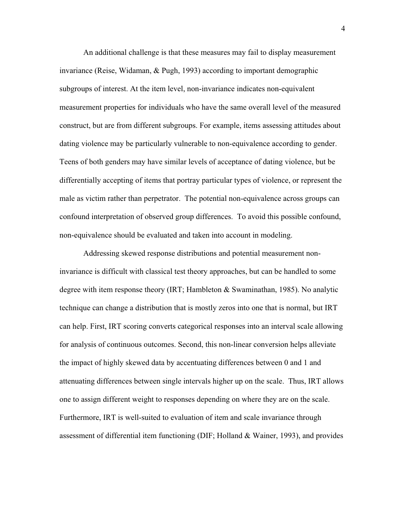An additional challenge is that these measures may fail to display measurement invariance (Reise, Widaman, & Pugh, 1993) according to important demographic subgroups of interest. At the item level, non-invariance indicates non-equivalent measurement properties for individuals who have the same overall level of the measured construct, but are from different subgroups. For example, items assessing attitudes about dating violence may be particularly vulnerable to non-equivalence according to gender. Teens of both genders may have similar levels of acceptance of dating violence, but be differentially accepting of items that portray particular types of violence, or represent the male as victim rather than perpetrator. The potential non-equivalence across groups can confound interpretation of observed group differences. To avoid this possible confound, non-equivalence should be evaluated and taken into account in modeling.

Addressing skewed response distributions and potential measurement noninvariance is difficult with classical test theory approaches, but can be handled to some degree with item response theory (IRT; Hambleton & Swaminathan, 1985). No analytic technique can change a distribution that is mostly zeros into one that is normal, but IRT can help. First, IRT scoring converts categorical responses into an interval scale allowing for analysis of continuous outcomes. Second, this non-linear conversion helps alleviate the impact of highly skewed data by accentuating differences between 0 and 1 and attenuating differences between single intervals higher up on the scale. Thus, IRT allows one to assign different weight to responses depending on where they are on the scale. Furthermore, IRT is well-suited to evaluation of item and scale invariance through assessment of differential item functioning (DIF; Holland & Wainer, 1993), and provides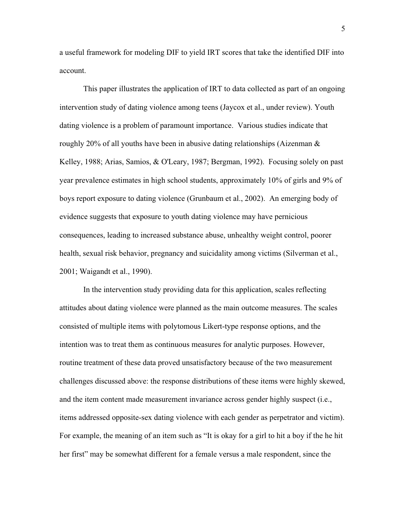a useful framework for modeling DIF to yield IRT scores that take the identified DIF into account.

This paper illustrates the application of IRT to data collected as part of an ongoing intervention study of dating violence among teens (Jaycox et al., under review). Youth dating violence is a problem of paramount importance. Various studies indicate that roughly 20% of all youths have been in abusive dating relationships (Aizenman  $\&$ Kelley, 1988; Arias, Samios, & O'Leary, 1987; Bergman, 1992). Focusing solely on past year prevalence estimates in high school students, approximately 10% of girls and 9% of boys report exposure to dating violence (Grunbaum et al., 2002). An emerging body of evidence suggests that exposure to youth dating violence may have pernicious consequences, leading to increased substance abuse, unhealthy weight control, poorer health, sexual risk behavior, pregnancy and suicidality among victims (Silverman et al., 2001; Waigandt et al., 1990).

In the intervention study providing data for this application, scales reflecting attitudes about dating violence were planned as the main outcome measures. The scales consisted of multiple items with polytomous Likert-type response options, and the intention was to treat them as continuous measures for analytic purposes. However, routine treatment of these data proved unsatisfactory because of the two measurement challenges discussed above: the response distributions of these items were highly skewed, and the item content made measurement invariance across gender highly suspect (i.e., items addressed opposite-sex dating violence with each gender as perpetrator and victim). For example, the meaning of an item such as "It is okay for a girl to hit a boy if the he hit her first" may be somewhat different for a female versus a male respondent, since the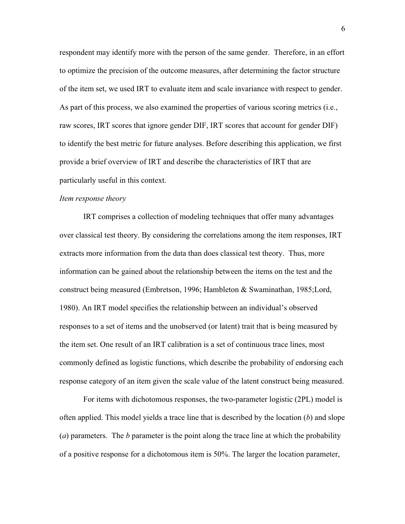respondent may identify more with the person of the same gender. Therefore, in an effort to optimize the precision of the outcome measures, after determining the factor structure of the item set, we used IRT to evaluate item and scale invariance with respect to gender. As part of this process, we also examined the properties of various scoring metrics (i.e., raw scores, IRT scores that ignore gender DIF, IRT scores that account for gender DIF) to identify the best metric for future analyses. Before describing this application, we first provide a brief overview of IRT and describe the characteristics of IRT that are particularly useful in this context.

#### *Item response theory*

IRT comprises a collection of modeling techniques that offer many advantages over classical test theory. By considering the correlations among the item responses, IRT extracts more information from the data than does classical test theory. Thus, more information can be gained about the relationship between the items on the test and the construct being measured (Embretson, 1996; Hambleton & Swaminathan, 1985;Lord, 1980). An IRT model specifies the relationship between an individual's observed responses to a set of items and the unobserved (or latent) trait that is being measured by the item set. One result of an IRT calibration is a set of continuous trace lines, most commonly defined as logistic functions, which describe the probability of endorsing each response category of an item given the scale value of the latent construct being measured.

For items with dichotomous responses, the two-parameter logistic (2PL) model is often applied. This model yields a trace line that is described by the location (*b*) and slope (*a*) parameters. The *b* parameter is the point along the trace line at which the probability of a positive response for a dichotomous item is 50%. The larger the location parameter,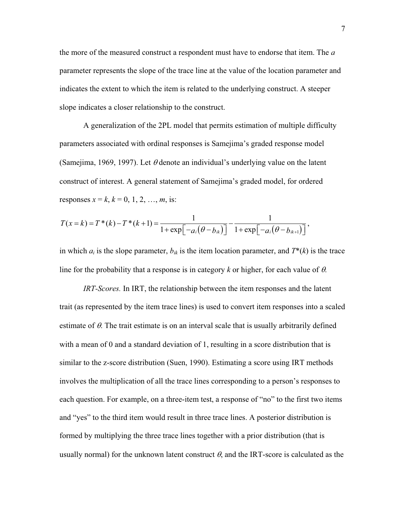the more of the measured construct a respondent must have to endorse that item. The *a* parameter represents the slope of the trace line at the value of the location parameter and indicates the extent to which the item is related to the underlying construct. A steeper slope indicates a closer relationship to the construct.

A generalization of the 2PL model that permits estimation of multiple difficulty parameters associated with ordinal responses is Samejima's graded response model (Samejima, 1969, 1997). Let  $\theta$  denote an individual's underlying value on the latent construct of interest. A general statement of Samejima's graded model, for ordered responses  $x = k$ ,  $k = 0, 1, 2, ..., m$ , is:

$$
T(x = k) = T^{*}(k) - T^{*}(k+1) = \frac{1}{1 + \exp[-a_i(\theta - b_{ik})]} - \frac{1}{1 + \exp[-a_i(\theta - b_{ik+1})]},
$$

in which  $a_i$  is the slope parameter,  $b_{ik}$  is the item location parameter, and  $T^*(k)$  is the trace line for the probability that a response is in category  $k$  or higher, for each value of  $\theta$ .

*IRT-Scores.* In IRT, the relationship between the item responses and the latent trait (as represented by the item trace lines) is used to convert item responses into a scaled estimate of  $\theta$ . The trait estimate is on an interval scale that is usually arbitrarily defined with a mean of 0 and a standard deviation of 1, resulting in a score distribution that is similar to the z-score distribution (Suen, 1990). Estimating a score using IRT methods involves the multiplication of all the trace lines corresponding to a person's responses to each question. For example, on a three-item test, a response of "no" to the first two items and "yes" to the third item would result in three trace lines. A posterior distribution is formed by multiplying the three trace lines together with a prior distribution (that is usually normal) for the unknown latent construct  $\theta$ , and the IRT-score is calculated as the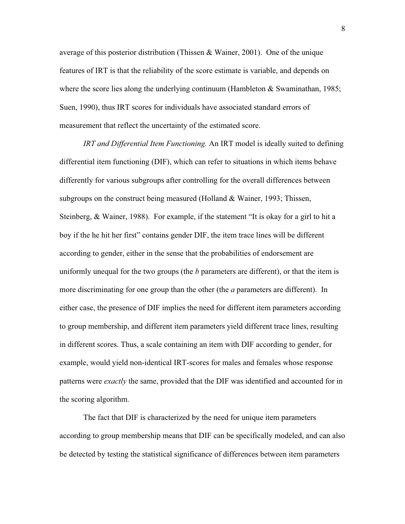average of this posterior distribution (Thissen  $\&$  Wainer, 2001). One of the unique features of IRT is that the reliability of the score estimate is variable, and depends on where the score lies along the underlying continuum (Hambleton  $\&$  Swaminathan, 1985; Suen, 1990), thus IRT scores for individuals have associated standard errors of measurement that reflect the uncertainty of the estimated score.

*IRT and Differential Item Functioning.* An IRT model is ideally suited to defining differential item functioning (DIF), which can refer to situations in which items behave differently for various subgroups after controlling for the overall differences between subgroups on the construct being measured (Holland & Wainer, 1993; Thissen, Steinberg, & Wainer, 1988). For example, if the statement "It is okay for a girl to hit a boy if the he hit her first" contains gender DIF, the item trace lines will be different according to gender, either in the sense that the probabilities of endorsement are uniformly unequal for the two groups (the *b* parameters are different), or that the item is more discriminating for one group than the other (the *a* parameters are different). In either case, the presence of DIF implies the need for different item parameters according to group membership, and different item parameters yield different trace lines, resulting in different scores. Thus, a scale containing an item with DIF according to gender, for example, would yield non-identical IRT-scores for males and females whose response patterns were *exactly* the same, provided that the DIF was identified and accounted for in the scoring algorithm.

The fact that DIF is characterized by the need for unique item parameters according to group membership means that DIF can be specifically modeled, and can also be detected by testing the statistical significance of differences between item parameters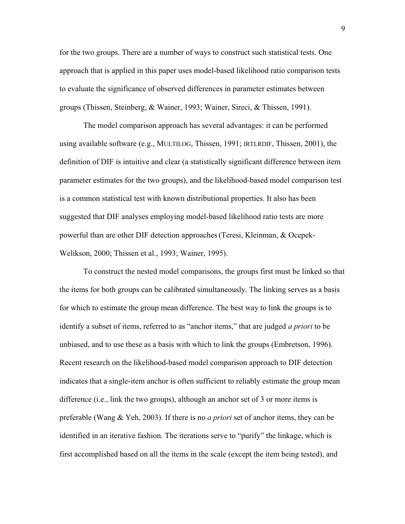for the two groups. There are a number of ways to construct such statistical tests. One approach that is applied in this paper uses model-based likelihood ratio comparison tests to evaluate the significance of observed differences in parameter estimates between groups (Thissen, Steinberg, & Wainer, 1993; Wainer, Sireci, & Thissen, 1991).

The model comparison approach has several advantages: it can be performed using available software (e.g., MULTILOG, Thissen, 1991; IRTLRDIF, Thissen, 2001), the definition of DIF is intuitive and clear (a statistically significant difference between item parameter estimates for the two groups), and the likelihood-based model comparison test is a common statistical test with known distributional properties. It also has been suggested that DIF analyses employing model-based likelihood ratio tests are more powerful than are other DIF detection approaches (Teresi, Kleinman, & Ocepek-Welikson, 2000; Thissen et al., 1993; Wainer, 1995).

To construct the nested model comparisons, the groups first must be linked so that the items for both groups can be calibrated simultaneously. The linking serves as a basis for which to estimate the group mean difference. The best way to link the groups is to identify a subset of items, referred to as "anchor items," that are judged *a priori* to be unbiased, and to use these as a basis with which to link the groups (Embretson, 1996). Recent research on the likelihood-based model comparison approach to DIF detection indicates that a single-item anchor is often sufficient to reliably estimate the group mean difference (i.e., link the two groups), although an anchor set of 3 or more items is preferable (Wang & Yeh, 2003). If there is no *a priori* set of anchor items, they can be identified in an iterative fashion. The iterations serve to "purify" the linkage, which is first accomplished based on all the items in the scale (except the item being tested), and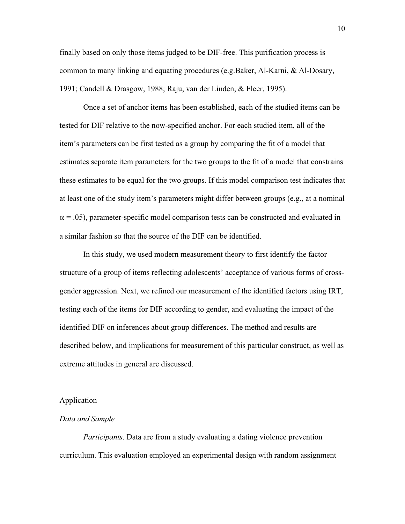finally based on only those items judged to be DIF-free. This purification process is common to many linking and equating procedures (e.g.Baker, Al-Karni, & Al-Dosary, 1991; Candell & Drasgow, 1988; Raju, van der Linden, & Fleer, 1995).

Once a set of anchor items has been established, each of the studied items can be tested for DIF relative to the now-specified anchor. For each studied item, all of the item's parameters can be first tested as a group by comparing the fit of a model that estimates separate item parameters for the two groups to the fit of a model that constrains these estimates to be equal for the two groups. If this model comparison test indicates that at least one of the study item's parameters might differ between groups (e.g., at a nominal  $\alpha$  = .05), parameter-specific model comparison tests can be constructed and evaluated in a similar fashion so that the source of the DIF can be identified.

In this study, we used modern measurement theory to first identify the factor structure of a group of items reflecting adolescents' acceptance of various forms of crossgender aggression. Next, we refined our measurement of the identified factors using IRT, testing each of the items for DIF according to gender, and evaluating the impact of the identified DIF on inferences about group differences. The method and results are described below, and implications for measurement of this particular construct, as well as extreme attitudes in general are discussed.

## Application

### *Data and Sample*

*Participants*. Data are from a study evaluating a dating violence prevention curriculum. This evaluation employed an experimental design with random assignment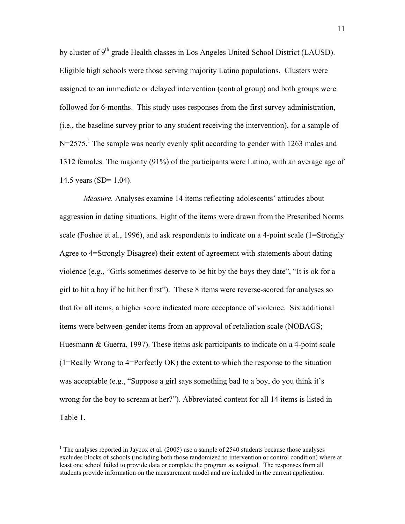by cluster of  $9<sup>th</sup>$  grade Health classes in Los Angeles United School District (LAUSD). Eligible high schools were those serving majority Latino populations. Clusters were assigned to an immediate or delayed intervention (control group) and both groups were followed for 6-months. This study uses responses from the first survey administration, (i.e., the baseline survey prior to any student receiving the intervention), for a sample of  $N=2575$ .<sup>1</sup> The sample was nearly evenly split according to gender with 1263 males and 1312 females. The majority (91%) of the participants were Latino, with an average age of 14.5 years (SD= 1.04).

*Measure.* Analyses examine 14 items reflecting adolescents' attitudes about aggression in dating situations. Eight of the items were drawn from the Prescribed Norms scale (Foshee et al., 1996), and ask respondents to indicate on a 4-point scale (1=Strongly Agree to 4=Strongly Disagree) their extent of agreement with statements about dating violence (e.g., "Girls sometimes deserve to be hit by the boys they date", "It is ok for a girl to hit a boy if he hit her first"). These 8 items were reverse-scored for analyses so that for all items, a higher score indicated more acceptance of violence. Six additional items were between-gender items from an approval of retaliation scale (NOBAGS; Huesmann & Guerra, 1997). These items ask participants to indicate on a 4-point scale (1=Really Wrong to 4=Perfectly OK) the extent to which the response to the situation was acceptable (e.g., "Suppose a girl says something bad to a boy, do you think it's wrong for the boy to scream at her?"). Abbreviated content for all 14 items is listed in Table 1.

<sup>&</sup>lt;sup>1</sup> The analyses reported in Jaycox et al.  $(2005)$  use a sample of 2540 students because those analyses excludes blocks of schools (including both those randomized to intervention or control condition) where at least one school failed to provide data or complete the program as assigned. The responses from all students provide information on the measurement model and are included in the current application.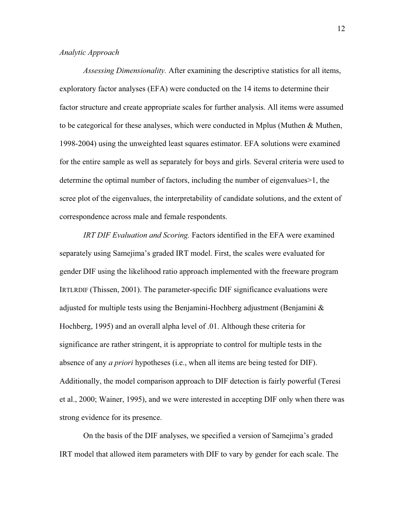# *Analytic Approach*

*Assessing Dimensionality.* After examining the descriptive statistics for all items, exploratory factor analyses (EFA) were conducted on the 14 items to determine their factor structure and create appropriate scales for further analysis. All items were assumed to be categorical for these analyses, which were conducted in Mplus (Muthen & Muthen, 1998-2004) using the unweighted least squares estimator. EFA solutions were examined for the entire sample as well as separately for boys and girls. Several criteria were used to determine the optimal number of factors, including the number of eigenvalues>1, the scree plot of the eigenvalues, the interpretability of candidate solutions, and the extent of correspondence across male and female respondents.

*IRT DIF Evaluation and Scoring.* Factors identified in the EFA were examined separately using Samejima's graded IRT model. First, the scales were evaluated for gender DIF using the likelihood ratio approach implemented with the freeware program IRTLRDIF (Thissen, 2001). The parameter-specific DIF significance evaluations were adjusted for multiple tests using the Benjamini-Hochberg adjustment (Benjamini  $\&$ Hochberg, 1995) and an overall alpha level of .01. Although these criteria for significance are rather stringent, it is appropriate to control for multiple tests in the absence of any *a priori* hypotheses (i.e., when all items are being tested for DIF). Additionally, the model comparison approach to DIF detection is fairly powerful (Teresi et al., 2000; Wainer, 1995), and we were interested in accepting DIF only when there was strong evidence for its presence.

On the basis of the DIF analyses, we specified a version of Samejima's graded IRT model that allowed item parameters with DIF to vary by gender for each scale. The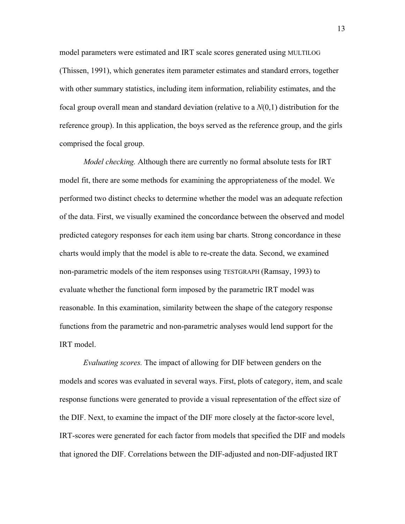model parameters were estimated and IRT scale scores generated using MULTILOG (Thissen, 1991), which generates item parameter estimates and standard errors, together with other summary statistics, including item information, reliability estimates, and the focal group overall mean and standard deviation (relative to a *N*(0,1) distribution for the reference group). In this application, the boys served as the reference group, and the girls comprised the focal group.

*Model checking.* Although there are currently no formal absolute tests for IRT model fit, there are some methods for examining the appropriateness of the model. We performed two distinct checks to determine whether the model was an adequate refection of the data. First, we visually examined the concordance between the observed and model predicted category responses for each item using bar charts. Strong concordance in these charts would imply that the model is able to re-create the data. Second, we examined non-parametric models of the item responses using TESTGRAPH (Ramsay, 1993) to evaluate whether the functional form imposed by the parametric IRT model was reasonable. In this examination, similarity between the shape of the category response functions from the parametric and non-parametric analyses would lend support for the IRT model.

*Evaluating scores.* The impact of allowing for DIF between genders on the models and scores was evaluated in several ways. First, plots of category, item, and scale response functions were generated to provide a visual representation of the effect size of the DIF. Next, to examine the impact of the DIF more closely at the factor-score level, IRT-scores were generated for each factor from models that specified the DIF and models that ignored the DIF. Correlations between the DIF-adjusted and non-DIF-adjusted IRT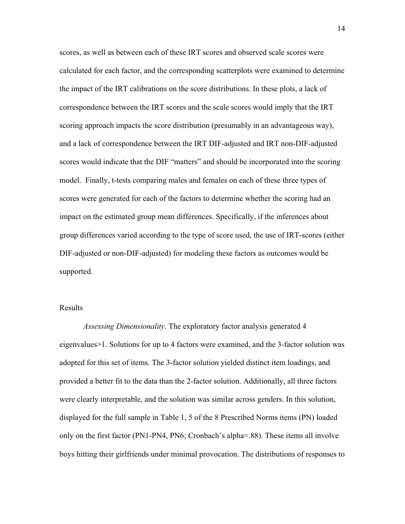scores, as well as between each of these IRT scores and observed scale scores were calculated for each factor, and the corresponding scatterplots were examined to determine the impact of the IRT calibrations on the score distributions. In these plots, a lack of correspondence between the IRT scores and the scale scores would imply that the IRT scoring approach impacts the score distribution (presumably in an advantageous way), and a lack of correspondence between the IRT DIF-adjusted and IRT non-DIF-adjusted scores would indicate that the DIF "matters" and should be incorporated into the scoring model. Finally, t-tests comparing males and females on each of these three types of scores were generated for each of the factors to determine whether the scoring had an impact on the estimated group mean differences. Specifically, if the inferences about group differences varied according to the type of score used, the use of IRT-scores (either DIF-adjusted or non-DIF-adjusted) for modeling these factors as outcomes would be supported.

### Results

*Assessing Dimensionality*. The exploratory factor analysis generated 4 eigenvalues>1. Solutions for up to 4 factors were examined, and the 3-factor solution was adopted for this set of items. The 3-factor solution yielded distinct item loadings, and provided a better fit to the data than the 2-factor solution. Additionally, all three factors were clearly interpretable, and the solution was similar across genders. In this solution, displayed for the full sample in Table 1, 5 of the 8 Prescribed Norms items (PN) loaded only on the first factor (PN1-PN4, PN6; Cronbach's alpha=.88). These items all involve boys hitting their girlfriends under minimal provocation. The distributions of responses to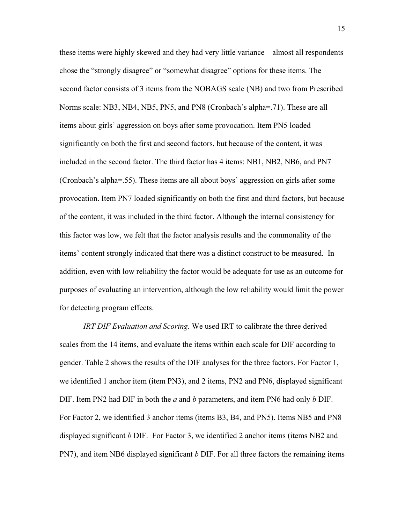these items were highly skewed and they had very little variance – almost all respondents chose the "strongly disagree" or "somewhat disagree" options for these items. The second factor consists of 3 items from the NOBAGS scale (NB) and two from Prescribed Norms scale: NB3, NB4, NB5, PN5, and PN8 (Cronbach's alpha=.71). These are all items about girls' aggression on boys after some provocation. Item PN5 loaded significantly on both the first and second factors, but because of the content, it was included in the second factor. The third factor has 4 items: NB1, NB2, NB6, and PN7 (Cronbach's alpha=.55). These items are all about boys' aggression on girls after some provocation. Item PN7 loaded significantly on both the first and third factors, but because of the content, it was included in the third factor. Although the internal consistency for this factor was low, we felt that the factor analysis results and the commonality of the items' content strongly indicated that there was a distinct construct to be measured. In addition, even with low reliability the factor would be adequate for use as an outcome for purposes of evaluating an intervention, although the low reliability would limit the power for detecting program effects.

*IRT DIF Evaluation and Scoring.* We used IRT to calibrate the three derived scales from the 14 items, and evaluate the items within each scale for DIF according to gender. Table 2 shows the results of the DIF analyses for the three factors. For Factor 1, we identified 1 anchor item (item PN3), and 2 items, PN2 and PN6, displayed significant DIF. Item PN2 had DIF in both the *a* and *b* parameters, and item PN6 had only *b* DIF. For Factor 2, we identified 3 anchor items (items B3, B4, and PN5). Items NB5 and PN8 displayed significant *b* DIF. For Factor 3, we identified 2 anchor items (items NB2 and PN7), and item NB6 displayed significant *b* DIF. For all three factors the remaining items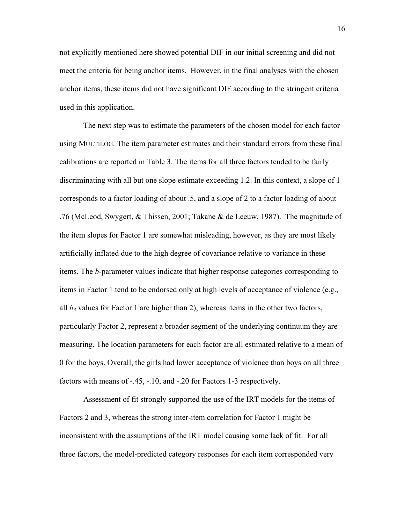not explicitly mentioned here showed potential DIF in our initial screening and did not meet the criteria for being anchor items. However, in the final analyses with the chosen anchor items, these items did not have significant DIF according to the stringent criteria used in this application.

The next step was to estimate the parameters of the chosen model for each factor using MULTILOG. The item parameter estimates and their standard errors from these final calibrations are reported in Table 3. The items for all three factors tended to be fairly discriminating with all but one slope estimate exceeding 1.2. In this context, a slope of 1 corresponds to a factor loading of about .5, and a slope of 2 to a factor loading of about .76 (McLeod, Swygert, & Thissen, 2001; Takane & de Leeuw, 1987). The magnitude of the item slopes for Factor 1 are somewhat misleading, however, as they are most likely artificially inflated due to the high degree of covariance relative to variance in these items. The *b*-parameter values indicate that higher response categories corresponding to items in Factor 1 tend to be endorsed only at high levels of acceptance of violence (e.g., all  $b_3$  values for Factor 1 are higher than 2), whereas items in the other two factors, particularly Factor 2, represent a broader segment of the underlying continuum they are measuring. The location parameters for each factor are all estimated relative to a mean of 0 for the boys. Overall, the girls had lower acceptance of violence than boys on all three factors with means of -.45, -.10, and -.20 for Factors 1-3 respectively.

Assessment of fit strongly supported the use of the IRT models for the items of Factors 2 and 3, whereas the strong inter-item correlation for Factor 1 might be inconsistent with the assumptions of the IRT model causing some lack of fit. For all three factors, the model-predicted category responses for each item corresponded very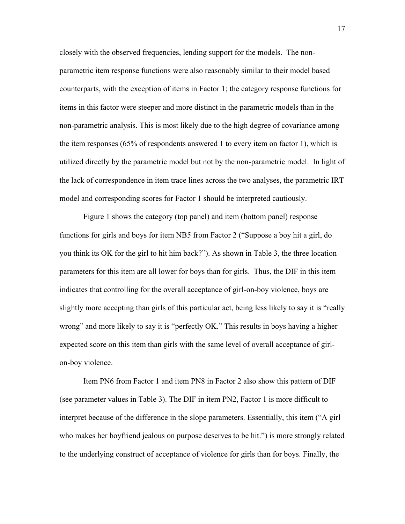closely with the observed frequencies, lending support for the models. The nonparametric item response functions were also reasonably similar to their model based counterparts, with the exception of items in Factor 1; the category response functions for items in this factor were steeper and more distinct in the parametric models than in the non-parametric analysis. This is most likely due to the high degree of covariance among the item responses (65% of respondents answered 1 to every item on factor 1), which is utilized directly by the parametric model but not by the non-parametric model. In light of the lack of correspondence in item trace lines across the two analyses, the parametric IRT model and corresponding scores for Factor 1 should be interpreted cautiously.

Figure 1 shows the category (top panel) and item (bottom panel) response functions for girls and boys for item NB5 from Factor 2 ("Suppose a boy hit a girl, do you think its OK for the girl to hit him back?"). As shown in Table 3, the three location parameters for this item are all lower for boys than for girls. Thus, the DIF in this item indicates that controlling for the overall acceptance of girl-on-boy violence, boys are slightly more accepting than girls of this particular act, being less likely to say it is "really wrong" and more likely to say it is "perfectly OK." This results in boys having a higher expected score on this item than girls with the same level of overall acceptance of girlon-boy violence.

Item PN6 from Factor 1 and item PN8 in Factor 2 also show this pattern of DIF (see parameter values in Table 3). The DIF in item PN2, Factor 1 is more difficult to interpret because of the difference in the slope parameters. Essentially, this item ("A girl who makes her boyfriend jealous on purpose deserves to be hit.") is more strongly related to the underlying construct of acceptance of violence for girls than for boys. Finally, the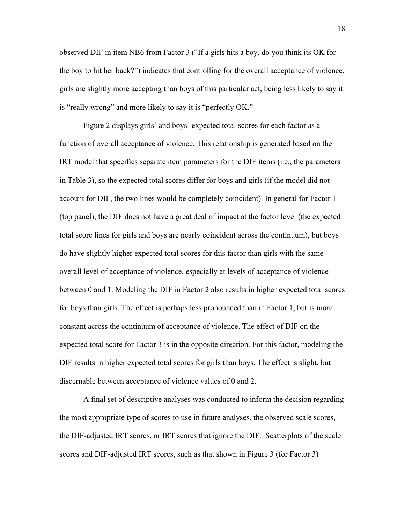observed DIF in item NB6 from Factor 3 ("If a girls hits a boy, do you think its OK for the boy to hit her back?") indicates that controlling for the overall acceptance of violence, girls are slightly more accepting than boys of this particular act, being less likely to say it is "really wrong" and more likely to say it is "perfectly OK."

Figure 2 displays girls' and boys' expected total scores for each factor as a function of overall acceptance of violence. This relationship is generated based on the IRT model that specifies separate item parameters for the DIF items (i.e., the parameters in Table 3), so the expected total scores differ for boys and girls (if the model did not account for DIF, the two lines would be completely coincident). In general for Factor 1 (top panel), the DIF does not have a great deal of impact at the factor level (the expected total score lines for girls and boys are nearly coincident across the continuum), but boys do have slightly higher expected total scores for this factor than girls with the same overall level of acceptance of violence, especially at levels of acceptance of violence between 0 and 1. Modeling the DIF in Factor 2 also results in higher expected total scores for boys than girls. The effect is perhaps less pronounced than in Factor 1, but is more constant across the continuum of acceptance of violence. The effect of DIF on the expected total score for Factor 3 is in the opposite direction. For this factor, modeling the DIF results in higher expected total scores for girls than boys. The effect is slight, but discernable between acceptance of violence values of 0 and 2.

A final set of descriptive analyses was conducted to inform the decision regarding the most appropriate type of scores to use in future analyses, the observed scale scores, the DIF-adjusted IRT scores, or IRT scores that ignore the DIF. Scatterplots of the scale scores and DIF-adjusted IRT scores, such as that shown in Figure 3 (for Factor 3)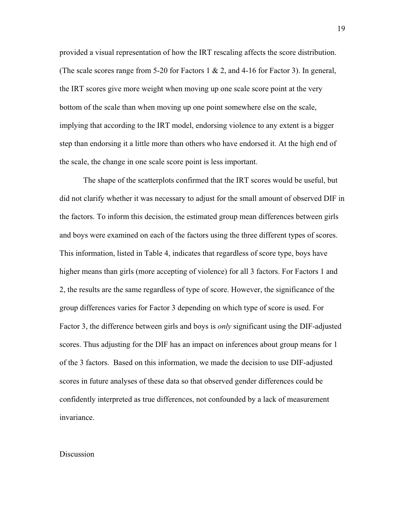provided a visual representation of how the IRT rescaling affects the score distribution. (The scale scores range from 5-20 for Factors 1 & 2, and 4-16 for Factor 3). In general, the IRT scores give more weight when moving up one scale score point at the very bottom of the scale than when moving up one point somewhere else on the scale, implying that according to the IRT model, endorsing violence to any extent is a bigger step than endorsing it a little more than others who have endorsed it. At the high end of the scale, the change in one scale score point is less important.

The shape of the scatterplots confirmed that the IRT scores would be useful, but did not clarify whether it was necessary to adjust for the small amount of observed DIF in the factors. To inform this decision, the estimated group mean differences between girls and boys were examined on each of the factors using the three different types of scores. This information, listed in Table 4, indicates that regardless of score type, boys have higher means than girls (more accepting of violence) for all 3 factors. For Factors 1 and 2, the results are the same regardless of type of score. However, the significance of the group differences varies for Factor 3 depending on which type of score is used. For Factor 3, the difference between girls and boys is *only* significant using the DIF-adjusted scores. Thus adjusting for the DIF has an impact on inferences about group means for 1 of the 3 factors. Based on this information, we made the decision to use DIF-adjusted scores in future analyses of these data so that observed gender differences could be confidently interpreted as true differences, not confounded by a lack of measurement invariance.

#### Discussion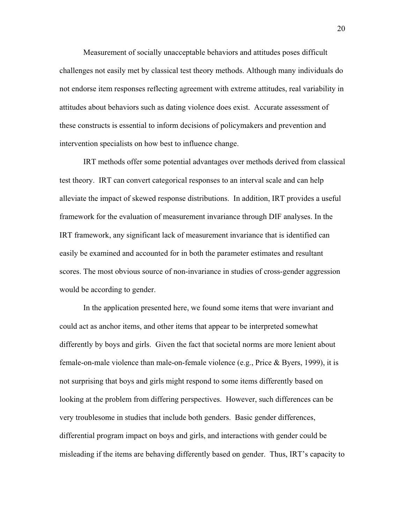Measurement of socially unacceptable behaviors and attitudes poses difficult challenges not easily met by classical test theory methods. Although many individuals do not endorse item responses reflecting agreement with extreme attitudes, real variability in attitudes about behaviors such as dating violence does exist. Accurate assessment of these constructs is essential to inform decisions of policymakers and prevention and intervention specialists on how best to influence change.

IRT methods offer some potential advantages over methods derived from classical test theory. IRT can convert categorical responses to an interval scale and can help alleviate the impact of skewed response distributions. In addition, IRT provides a useful framework for the evaluation of measurement invariance through DIF analyses. In the IRT framework, any significant lack of measurement invariance that is identified can easily be examined and accounted for in both the parameter estimates and resultant scores. The most obvious source of non-invariance in studies of cross-gender aggression would be according to gender.

In the application presented here, we found some items that were invariant and could act as anchor items, and other items that appear to be interpreted somewhat differently by boys and girls. Given the fact that societal norms are more lenient about female-on-male violence than male-on-female violence (e.g., Price  $\&$  Byers, 1999), it is not surprising that boys and girls might respond to some items differently based on looking at the problem from differing perspectives. However, such differences can be very troublesome in studies that include both genders. Basic gender differences, differential program impact on boys and girls, and interactions with gender could be misleading if the items are behaving differently based on gender. Thus, IRT's capacity to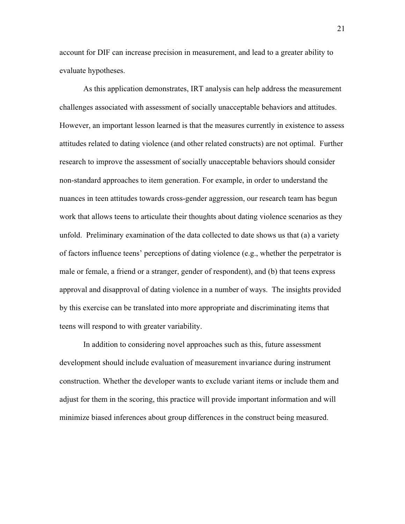account for DIF can increase precision in measurement, and lead to a greater ability to evaluate hypotheses.

As this application demonstrates, IRT analysis can help address the measurement challenges associated with assessment of socially unacceptable behaviors and attitudes. However, an important lesson learned is that the measures currently in existence to assess attitudes related to dating violence (and other related constructs) are not optimal. Further research to improve the assessment of socially unacceptable behaviors should consider non-standard approaches to item generation. For example, in order to understand the nuances in teen attitudes towards cross-gender aggression, our research team has begun work that allows teens to articulate their thoughts about dating violence scenarios as they unfold. Preliminary examination of the data collected to date shows us that (a) a variety of factors influence teens' perceptions of dating violence (e.g., whether the perpetrator is male or female, a friend or a stranger, gender of respondent), and (b) that teens express approval and disapproval of dating violence in a number of ways. The insights provided by this exercise can be translated into more appropriate and discriminating items that teens will respond to with greater variability.

In addition to considering novel approaches such as this, future assessment development should include evaluation of measurement invariance during instrument construction. Whether the developer wants to exclude variant items or include them and adjust for them in the scoring, this practice will provide important information and will minimize biased inferences about group differences in the construct being measured.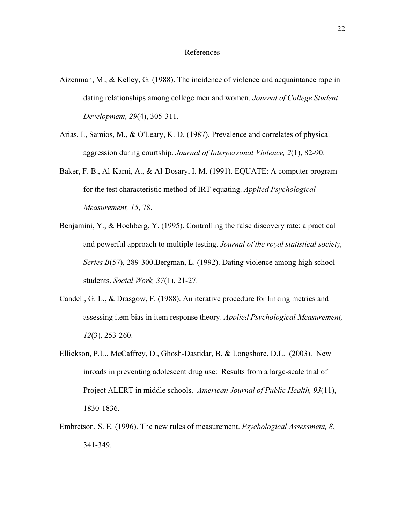- Aizenman, M., & Kelley, G. (1988). The incidence of violence and acquaintance rape in dating relationships among college men and women. *Journal of College Student Development, 29*(4), 305-311.
- Arias, I., Samios, M., & O'Leary, K. D. (1987). Prevalence and correlates of physical aggression during courtship. *Journal of Interpersonal Violence, 2*(1), 82-90.
- Baker, F. B., Al-Karni, A., & Al-Dosary, I. M. (1991). EQUATE: A computer program for the test characteristic method of IRT equating. *Applied Psychological Measurement, 15*, 78.
- Benjamini, Y., & Hochberg, Y. (1995). Controlling the false discovery rate: a practical and powerful approach to multiple testing. *Journal of the royal statistical society, Series B*(57), 289-300.Bergman, L. (1992). Dating violence among high school students. *Social Work, 37*(1), 21-27.
- Candell, G. L., & Drasgow, F. (1988). An iterative procedure for linking metrics and assessing item bias in item response theory. *Applied Psychological Measurement, 12*(3), 253-260.
- Ellickson, P.L., McCaffrey, D., Ghosh-Dastidar, B. & Longshore, D.L. (2003). New inroads in preventing adolescent drug use: Results from a large-scale trial of Project ALERT in middle schools. *American Journal of Public Health, 93*(11), 1830-1836.
- Embretson, S. E. (1996). The new rules of measurement. *Psychological Assessment, 8*, 341-349.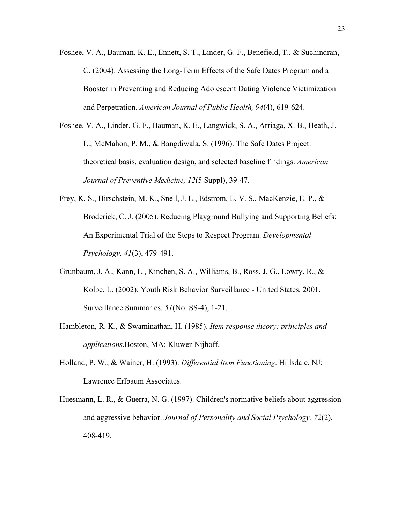- Foshee, V. A., Bauman, K. E., Ennett, S. T., Linder, G. F., Benefield, T., & Suchindran, C. (2004). Assessing the Long-Term Effects of the Safe Dates Program and a Booster in Preventing and Reducing Adolescent Dating Violence Victimization and Perpetration. *American Journal of Public Health, 94*(4), 619-624.
- Foshee, V. A., Linder, G. F., Bauman, K. E., Langwick, S. A., Arriaga, X. B., Heath, J. L., McMahon, P. M., & Bangdiwala, S. (1996). The Safe Dates Project: theoretical basis, evaluation design, and selected baseline findings. *American Journal of Preventive Medicine, 12*(5 Suppl), 39-47.
- Frey, K. S., Hirschstein, M. K., Snell, J. L., Edstrom, L. V. S., MacKenzie, E. P., & Broderick, C. J. (2005). Reducing Playground Bullying and Supporting Beliefs: An Experimental Trial of the Steps to Respect Program. *Developmental Psychology, 41*(3), 479-491.
- Grunbaum, J. A., Kann, L., Kinchen, S. A., Williams, B., Ross, J. G., Lowry, R., & Kolbe, L. (2002). Youth Risk Behavior Surveillance - United States, 2001. Surveillance Summaries. *51*(No. SS-4), 1-21.
- Hambleton, R. K., & Swaminathan, H. (1985). *Item response theory: principles and applications*.Boston, MA: Kluwer-Nijhoff.
- Holland, P. W., & Wainer, H. (1993). *Differential Item Functioning*. Hillsdale, NJ: Lawrence Erlbaum Associates.
- Huesmann, L. R., & Guerra, N. G. (1997). Children's normative beliefs about aggression and aggressive behavior. *Journal of Personality and Social Psychology, 72*(2), 408-419.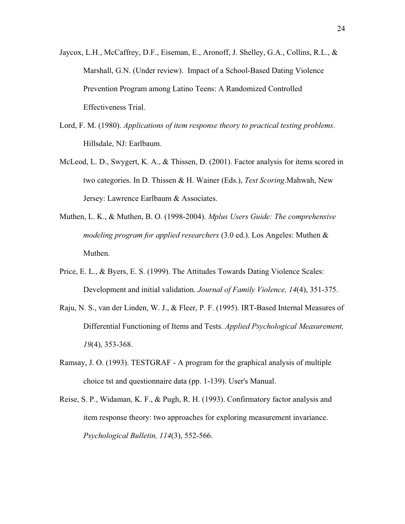- Jaycox, L.H., McCaffrey, D.F., Eiseman, E., Aronoff, J. Shelley, G.A., Collins, R.L., & Marshall, G.N. (Under review). Impact of a School-Based Dating Violence Prevention Program among Latino Teens: A Randomized Controlled Effectiveness Trial.
- Lord, F. M. (1980). *Applications of item response theory to practical testing problems*. Hillsdale, NJ: Earlbaum.
- McLeod, L. D., Swygert, K. A., & Thissen, D. (2001). Factor analysis for items scored in two categories. In D. Thissen & H. Wainer (Eds.), *Test Scoring*.Mahwah, New Jersey: Lawrence Earlbaum & Associates.
- Muthen, L. K., & Muthen, B. O. (1998-2004). *Mplus Users Guide: The comprehensive modeling program for applied researchers* (3.0 ed.). Los Angeles: Muthen & Muthen.
- Price, E. L., & Byers, E. S. (1999). The Attitudes Towards Dating Violence Scales: Development and initial validation. *Journal of Family Violence, 14*(4), 351-375.
- Raju, N. S., van der Linden, W. J., & Fleer, P. F. (1995). IRT-Based Internal Measures of Differential Functioning of Items and Tests. *Applied Psychological Measurement, 19*(4), 353-368.
- Ramsay, J. O. (1993). TESTGRAF A program for the graphical analysis of multiple choice tst and questionnaire data (pp. 1-139). User's Manual.
- Reise, S. P., Widaman, K. F., & Pugh, R. H. (1993). Confirmatory factor analysis and item response theory: two approaches for exploring measurement invariance. *Psychological Bulletin, 114*(3), 552-566.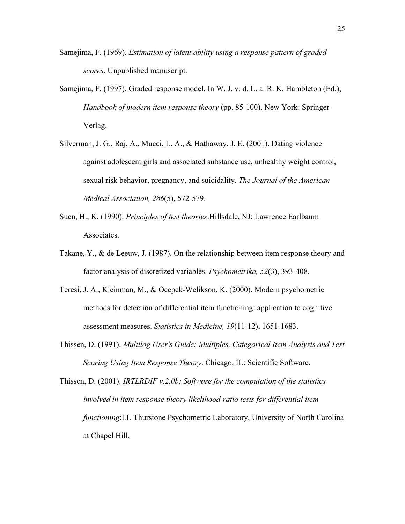- Samejima, F. (1969). *Estimation of latent ability using a response pattern of graded scores*. Unpublished manuscript.
- Samejima, F. (1997). Graded response model. In W. J. v. d. L. a. R. K. Hambleton (Ed.), *Handbook of modern item response theory* (pp. 85-100). New York: Springer-Verlag.
- Silverman, J. G., Raj, A., Mucci, L. A., & Hathaway, J. E. (2001). Dating violence against adolescent girls and associated substance use, unhealthy weight control, sexual risk behavior, pregnancy, and suicidality. *The Journal of the American Medical Association, 286*(5), 572-579.
- Suen, H., K. (1990). *Principles of test theories*.Hillsdale, NJ: Lawrence Earlbaum Associates.
- Takane, Y., & de Leeuw, J. (1987). On the relationship between item response theory and factor analysis of discretized variables. *Psychometrika, 52*(3), 393-408.
- Teresi, J. A., Kleinman, M., & Ocepek-Welikson, K. (2000). Modern psychometric methods for detection of differential item functioning: application to cognitive assessment measures. *Statistics in Medicine, 19*(11-12), 1651-1683.
- Thissen, D. (1991). *Multilog User's Guide: Multiples, Categorical Item Analysis and Test Scoring Using Item Response Theory*. Chicago, IL: Scientific Software.

Thissen, D. (2001). *IRTLRDIF v.2.0b: Software for the computation of the statistics involved in item response theory likelihood-ratio tests for differential item functioning*:LL Thurstone Psychometric Laboratory, University of North Carolina at Chapel Hill.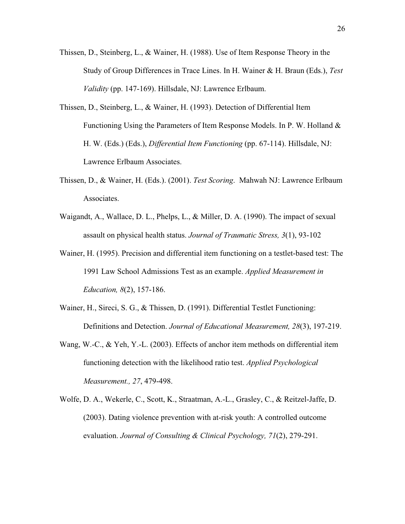- Thissen, D., Steinberg, L., & Wainer, H. (1988). Use of Item Response Theory in the Study of Group Differences in Trace Lines. In H. Wainer & H. Braun (Eds.), *Test Validity* (pp. 147-169). Hillsdale, NJ: Lawrence Erlbaum.
- Thissen, D., Steinberg, L., & Wainer, H. (1993). Detection of Differential Item Functioning Using the Parameters of Item Response Models. In P. W. Holland  $\&$ H. W. (Eds.) (Eds.), *Differential Item Functioning* (pp. 67-114). Hillsdale, NJ: Lawrence Erlbaum Associates.
- Thissen, D., & Wainer, H. (Eds.). (2001). *Test Scoring*. Mahwah NJ: Lawrence Erlbaum Associates.
- Waigandt, A., Wallace, D. L., Phelps, L., & Miller, D. A. (1990). The impact of sexual assault on physical health status. *Journal of Traumatic Stress, 3*(1), 93-102
- Wainer, H. (1995). Precision and differential item functioning on a testlet-based test: The 1991 Law School Admissions Test as an example. *Applied Measurement in Education, 8*(2), 157-186.
- Wainer, H., Sireci, S. G., & Thissen, D. (1991). Differential Testlet Functioning: Definitions and Detection. *Journal of Educational Measurement, 28*(3), 197-219.
- Wang, W.-C., & Yeh, Y.-L. (2003). Effects of anchor item methods on differential item functioning detection with the likelihood ratio test. *Applied Psychological Measurement., 27*, 479-498.
- Wolfe, D. A., Wekerle, C., Scott, K., Straatman, A.-L., Grasley, C., & Reitzel-Jaffe, D. (2003). Dating violence prevention with at-risk youth: A controlled outcome evaluation. *Journal of Consulting & Clinical Psychology, 71*(2), 279-291.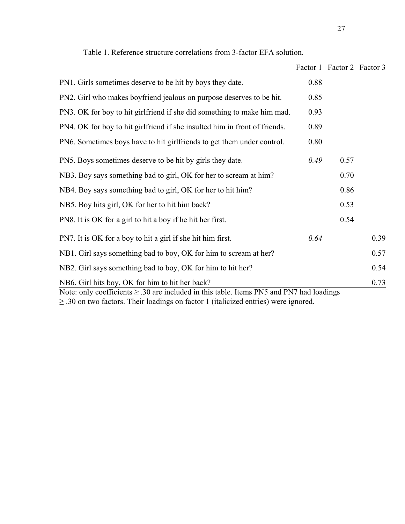|                                                                                                                                                                                                                                                      |      | Factor 1 Factor 2 Factor 3 |      |  |
|------------------------------------------------------------------------------------------------------------------------------------------------------------------------------------------------------------------------------------------------------|------|----------------------------|------|--|
| PN1. Girls sometimes deserve to be hit by boys they date.                                                                                                                                                                                            | 0.88 |                            |      |  |
| PN2. Girl who makes boyfriend jealous on purpose deserves to be hit.                                                                                                                                                                                 | 0.85 |                            |      |  |
| PN3. OK for boy to hit girlfriend if she did something to make him mad.                                                                                                                                                                              | 0.93 |                            |      |  |
| PN4. OK for boy to hit girlfriend if she insulted him in front of friends.                                                                                                                                                                           | 0.89 |                            |      |  |
| PN6. Sometimes boys have to hit girlfriends to get them under control.                                                                                                                                                                               | 0.80 |                            |      |  |
| PN5. Boys sometimes deserve to be hit by girls they date.                                                                                                                                                                                            | 0.49 | 0.57                       |      |  |
| NB3. Boy says something bad to girl, OK for her to scream at him?                                                                                                                                                                                    |      | 0.70                       |      |  |
| NB4. Boy says something bad to girl, OK for her to hit him?                                                                                                                                                                                          |      | 0.86                       |      |  |
| NB5. Boy hits girl, OK for her to hit him back?                                                                                                                                                                                                      |      | 0.53                       |      |  |
| PN8. It is OK for a girl to hit a boy if he hit her first.                                                                                                                                                                                           |      | 0.54                       |      |  |
| PN7. It is OK for a boy to hit a girl if she hit him first.                                                                                                                                                                                          | 0.64 |                            | 0.39 |  |
| NB1. Girl says something bad to boy, OK for him to scream at her?                                                                                                                                                                                    |      |                            | 0.57 |  |
| NB2. Girl says something bad to boy, OK for him to hit her?                                                                                                                                                                                          |      |                            | 0.54 |  |
| NB6. Girl hits boy, OK for him to hit her back?<br>0.73<br>Note: only coefficients $\geq$ .30 are included in this table. Items PN5 and PN7 had loadings<br>$\geq$ .30 on two factors. Their loadings on factor 1 (italicized entries) were ignored. |      |                            |      |  |

Table 1. Reference structure correlations from 3-factor EFA solution.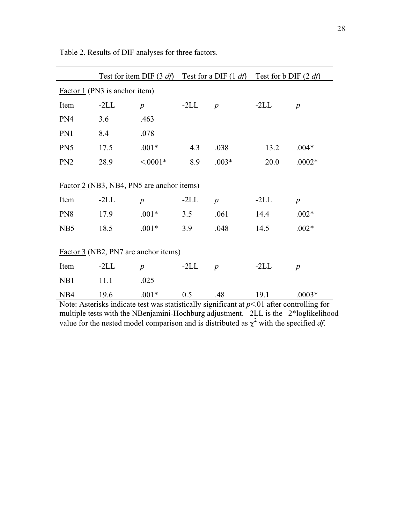|                                                                                                                                        |        | Test for item DIF $(3 \text{ df})$ Test for a DIF $(1 \text{ df})$ Test for b DIF $(2 \text{ df})$            |        |                  |        |                  |
|----------------------------------------------------------------------------------------------------------------------------------------|--------|---------------------------------------------------------------------------------------------------------------|--------|------------------|--------|------------------|
| $Factor 1$ (PN3 is anchor item)                                                                                                        |        |                                                                                                               |        |                  |        |                  |
| Item                                                                                                                                   | $-2LL$ | $\boldsymbol{p}$                                                                                              | $-2LL$ | $\boldsymbol{p}$ | $-2LL$ | $\boldsymbol{p}$ |
| PN4                                                                                                                                    | 3.6    | .463                                                                                                          |        |                  |        |                  |
| PN1                                                                                                                                    | 8.4    | .078                                                                                                          |        |                  |        |                  |
| PN <sub>5</sub>                                                                                                                        | 17.5   | $.001*$                                                                                                       | 4.3    | .038             | 13.2   | $.004*$          |
| PN <sub>2</sub>                                                                                                                        | 28.9   | $< 0.001*$                                                                                                    | 8.9    | $.003*$          | 20.0   | $.0002*$         |
| Factor 2 (NB3, NB4, PN5 are anchor items)<br>$-2LL$<br>Item<br>$-2LL$<br>$-2LL$<br>$\boldsymbol{p}$<br>$\boldsymbol{p}$<br>$\,p\,$     |        |                                                                                                               |        |                  |        |                  |
| PN <sub>8</sub>                                                                                                                        | 17.9   | $.001*$                                                                                                       | 3.5    | .061             | 14.4   | $.002*$          |
| NB5                                                                                                                                    | 18.5   | $.001*$                                                                                                       | 3.9    | .048             | 14.5   | $.002*$          |
| Factor 3 (NB2, PN7 are anchor items)<br>$-2LL$<br>$-2LL$<br>Item<br>$-2LL$<br>$\boldsymbol{p}$<br>$\boldsymbol{p}$<br>$\boldsymbol{p}$ |        |                                                                                                               |        |                  |        |                  |
| N <sub>B</sub> 1                                                                                                                       | 11.1   | .025                                                                                                          |        |                  |        |                  |
| N <sub>B4</sub>                                                                                                                        | 19.6   | $.001*$<br>Mater, Asterialis indicate test was statistically significant at $x \le 0.1$ after controlling for | 0.5    | .48              | 19.1   | $.0003*$         |

Table 2. Results of DIF analyses for three factors.

Note: Asterisks indicate test was statistically significant at *p*<.01 after controlling for multiple tests with the NBenjamini-Hochburg adjustment. –2LL is the –2\*loglikelihood value for the nested model comparison and is distributed as  $\chi^2$  with the specified *df*.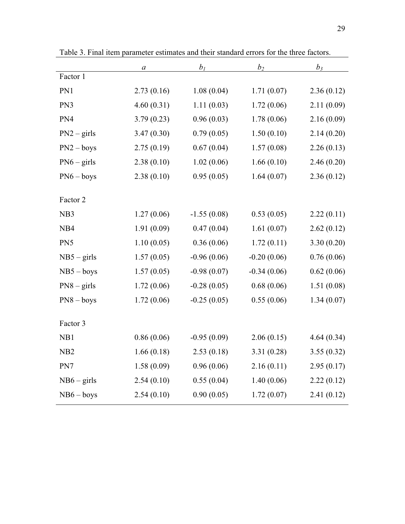|                 | $\boldsymbol{a}$ | $b_1$         | $b_2$         | $b_3$      |
|-----------------|------------------|---------------|---------------|------------|
| Factor 1        |                  |               |               |            |
| PN1             | 2.73(0.16)       | 1.08(0.04)    | 1.71(0.07)    | 2.36(0.12) |
| PN3             | 4.60(0.31)       | 1.11(0.03)    | 1.72(0.06)    | 2.11(0.09) |
| PN4             | 3.79(0.23)       | 0.96(0.03)    | 1.78(0.06)    | 2.16(0.09) |
| $PN2 - girls$   | 3.47(0.30)       | 0.79(0.05)    | 1.50(0.10)    | 2.14(0.20) |
| $PN2 - boys$    | 2.75(0.19)       | 0.67(0.04)    | 1.57(0.08)    | 2.26(0.13) |
| $PN6 - girls$   | 2.38(0.10)       | 1.02(0.06)    | 1.66(0.10)    | 2.46(0.20) |
| $PN6 - boys$    | 2.38(0.10)       | 0.95(0.05)    | 1.64(0.07)    | 2.36(0.12) |
|                 |                  |               |               |            |
| Factor 2        |                  |               |               |            |
| NB <sub>3</sub> | 1.27(0.06)       | $-1.55(0.08)$ | 0.53(0.05)    | 2.22(0.11) |
| NB4             | 1.91(0.09)       | 0.47(0.04)    | 1.61(0.07)    | 2.62(0.12) |
| PN5             | 1.10(0.05)       | 0.36(0.06)    | 1.72(0.11)    | 3.30(0.20) |
| $NB5 - girls$   | 1.57(0.05)       | $-0.96(0.06)$ | $-0.20(0.06)$ | 0.76(0.06) |
| $NB5 - boys$    | 1.57(0.05)       | $-0.98(0.07)$ | $-0.34(0.06)$ | 0.62(0.06) |
| $PN8 - girls$   | 1.72(0.06)       | $-0.28(0.05)$ | 0.68(0.06)    | 1.51(0.08) |
| $PN8 - boys$    | 1.72(0.06)       | $-0.25(0.05)$ | 0.55(0.06)    | 1.34(0.07) |
|                 |                  |               |               |            |
| Factor 3        |                  |               |               |            |
| NB1             | 0.86(0.06)       | $-0.95(0.09)$ | 2.06(0.15)    | 4.64(0.34) |
| N <sub>B2</sub> | 1.66(0.18)       | 2.53(0.18)    | 3.31(0.28)    | 3.55(0.32) |
| PN7             | 1.58(0.09)       | 0.96(0.06)    | 2.16(0.11)    | 2.95(0.17) |
| $NB6 - girls$   | 2.54(0.10)       | 0.55(0.04)    | 1.40(0.06)    | 2.22(0.12) |
| $NB6 - boys$    | 2.54(0.10)       | 0.90(0.05)    | 1.72(0.07)    | 2.41(0.12) |

Table 3. Final item parameter estimates and their standard errors for the three factors.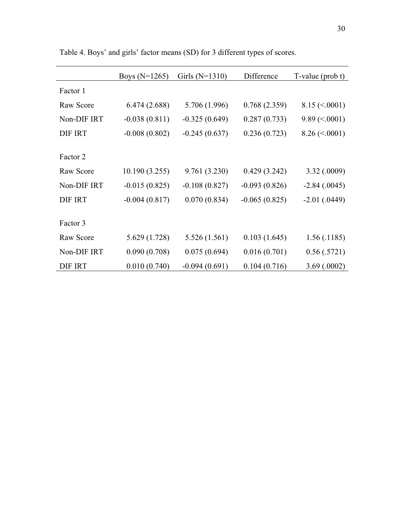|                | Boys $(N=1265)$ | Girls $(N=1310)$ | Difference      | $T-value (prob t)$            |
|----------------|-----------------|------------------|-----------------|-------------------------------|
| Factor 1       |                 |                  |                 |                               |
| Raw Score      | 6.474 (2.688)   | 5.706 (1.996)    | 0.768(2.359)    | $8.15 \approx 0.0001$         |
| Non-DIF IRT    | $-0.038(0.811)$ | $-0.325(0.649)$  | 0.287(0.733)    | $9.89 \left( < .0001 \right)$ |
| <b>DIF IRT</b> | $-0.008(0.802)$ | $-0.245(0.637)$  | 0.236(0.723)    | $8.26 \approx 0.0001$         |
|                |                 |                  |                 |                               |
| Factor 2       |                 |                  |                 |                               |
| Raw Score      | 10.190 (3.255)  | 9.761 (3.230)    | 0.429(3.242)    | 3.32(.0009)                   |
| Non-DIF IRT    | $-0.015(0.825)$ | $-0.108(0.827)$  | $-0.093(0.826)$ | $-2.84(.0045)$                |
| <b>DIF IRT</b> | $-0.004(0.817)$ | 0.070(0.834)     | $-0.065(0.825)$ | $-2.01$ (.0449)               |
|                |                 |                  |                 |                               |
| Factor 3       |                 |                  |                 |                               |
| Raw Score      | 5.629 (1.728)   | 5.526(1.561)     | 0.103(1.645)    | 1.56(0.1185)                  |
| Non-DIF IRT    | 0.090(0.708)    | 0.075(0.694)     | 0.016(0.701)    | 0.56(.5721)                   |
| <b>DIF IRT</b> | 0.010(0.740)    | $-0.094(0.691)$  | 0.104(0.716)    | 3.69(.0002)                   |

Table 4. Boys' and girls' factor means (SD) for 3 different types of scores.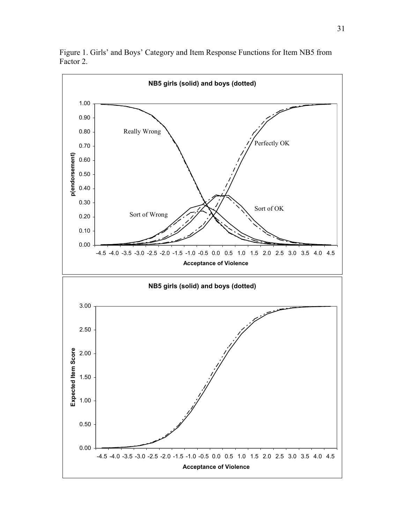

Figure 1. Girls' and Boys' Category and Item Response Functions for Item NB5 from Factor 2.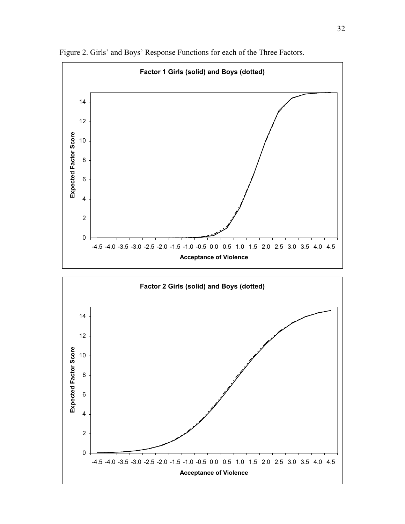

Figure 2. Girls' and Boys' Response Functions for each of the Three Factors.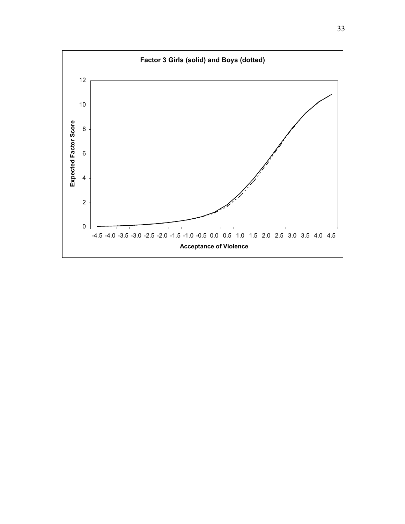